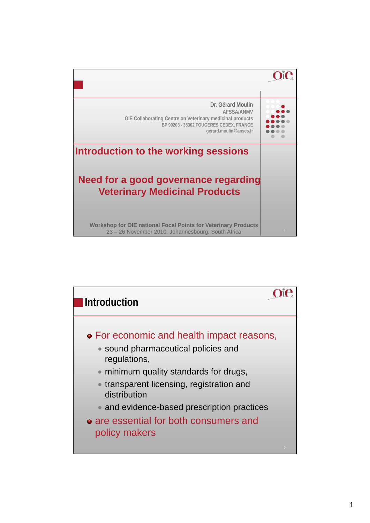

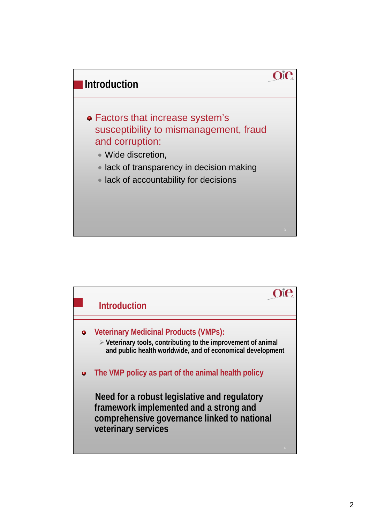

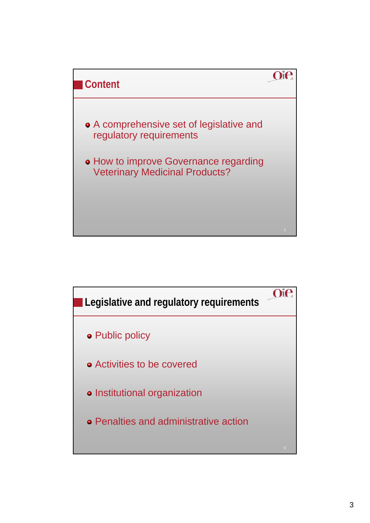

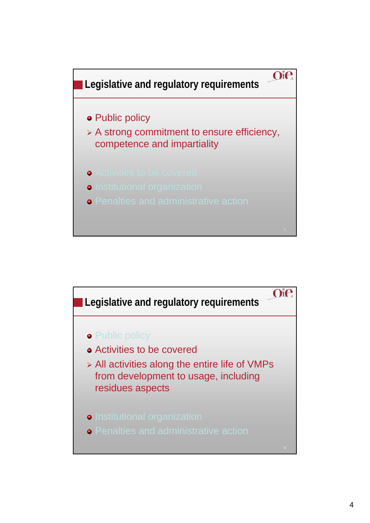

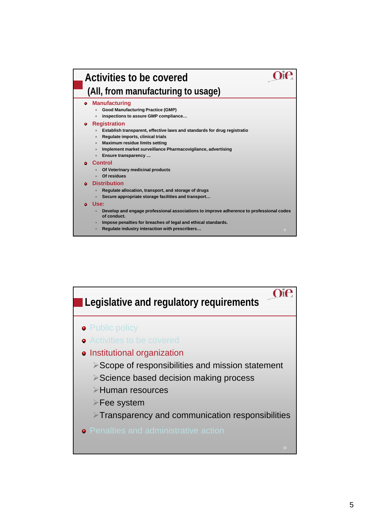

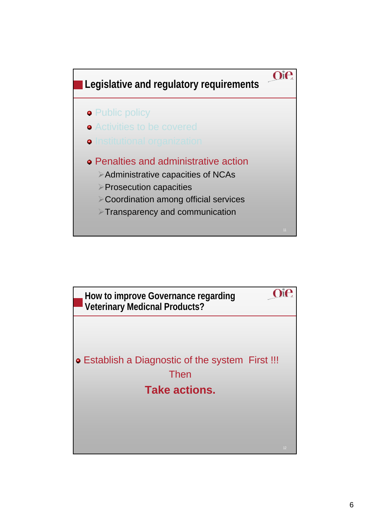

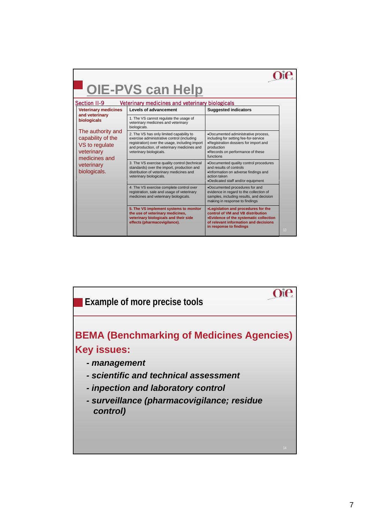| <b>OIE-PVS can Help</b><br><b>Section II-9</b><br>Veterinary medicines and veterinary biologicals                                                                                     |                                                                                                                                                                                                                    |                                                                                                                                                                                        |    |
|---------------------------------------------------------------------------------------------------------------------------------------------------------------------------------------|--------------------------------------------------------------------------------------------------------------------------------------------------------------------------------------------------------------------|----------------------------------------------------------------------------------------------------------------------------------------------------------------------------------------|----|
| <b>Veterinary medicines</b><br>and veterinary<br>biologicals<br>The authority and<br>capability of the<br>VS to regulate<br>veterinary<br>medicines and<br>veterinary<br>biologicals. | Levels of advancement                                                                                                                                                                                              | <b>Suggested indicators</b>                                                                                                                                                            |    |
|                                                                                                                                                                                       | 1. The VS cannot regulate the usage of<br>veterinary medicines and veterinary<br>biologicals.                                                                                                                      |                                                                                                                                                                                        |    |
|                                                                                                                                                                                       | 2. The VS has only limited capability to<br>exercise administrative control (including<br>registration) over the usage, including import<br>and production, of veterinary medicines and<br>veterinary biologicals. | .Documented administrative process,<br>including for setting fee-for-service<br>.Registration dossiers for import and<br>production<br>•Records on performance of these<br>functions   |    |
|                                                                                                                                                                                       | 3. The VS exercise quality control (technical<br>standards) over the import, production and<br>distribution of veterinary medicines and<br>veterinary biologicals.                                                 | •Documented quality control procedures<br>and results of controls<br>.Information on adverse findings and<br>action taken<br>•Dedicated staff and/or equipment                         |    |
|                                                                                                                                                                                       | 4. The VS exercise complete control over<br>registration, sale and usage of veterinary<br>medicines and veterinary biologicals.                                                                                    | •Documented procedures for and<br>evidence in regard to the collection of<br>samples, including results, and decision<br>making in response to findings                                |    |
|                                                                                                                                                                                       | 5. The VS implement systems to monitor<br>the use of veterinary medicines,<br>veterinary biologicals and their side<br>effects (pharmacovigilance).                                                                | .Legislation and procedures for the<br>control of VM and VB distribution<br>•Evidence of the systematic collection<br>of relevant information and decisions<br>in response to findings | 13 |

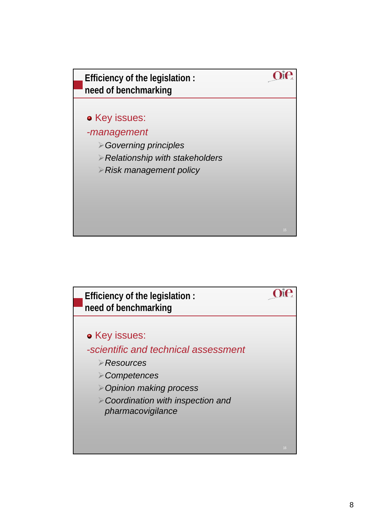

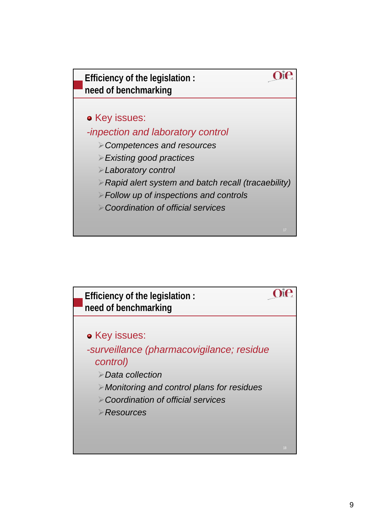

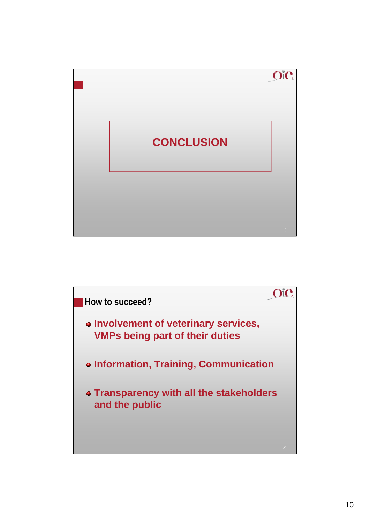

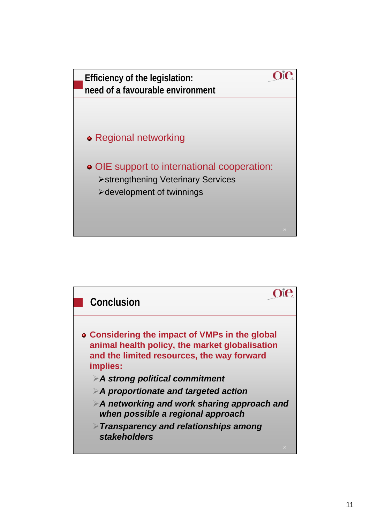

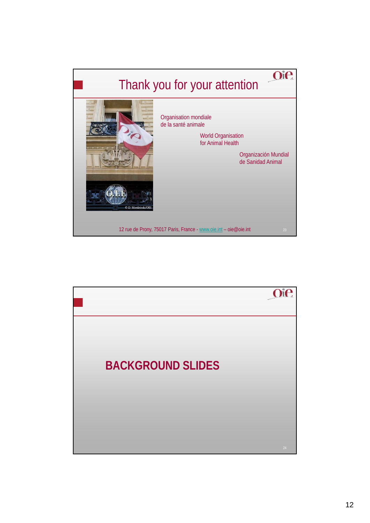

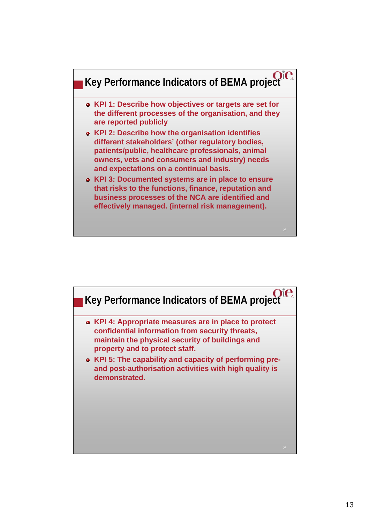